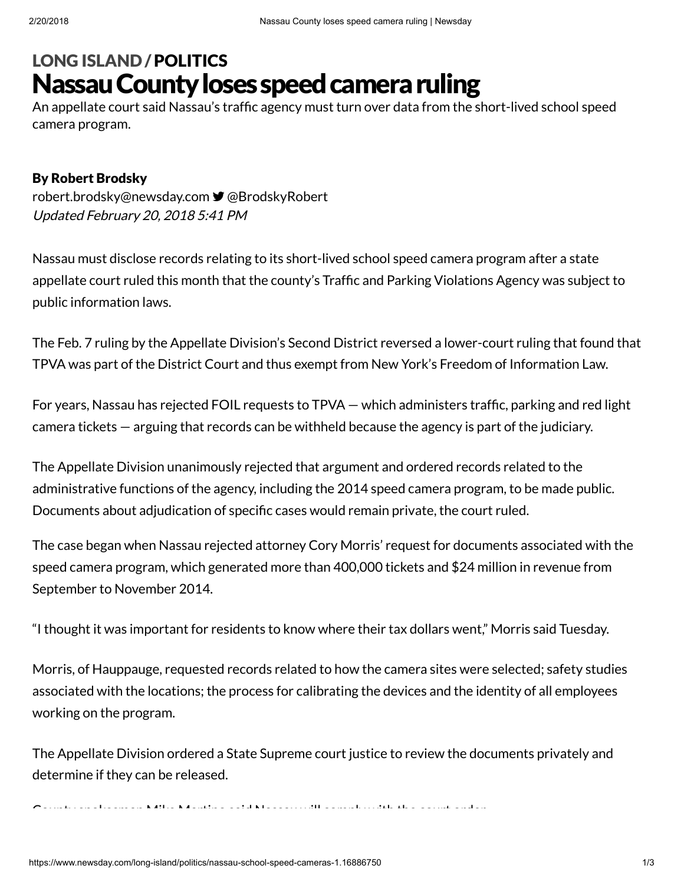## Nassau County loses speed camera ruling LONG [ISLAND](https://www.newsday.com/long-island) /[POLITICS](https://www.newsday.com/long-island/politics)

An appellate court said Nassau's traffic agency must turn over data from the short-lived school speed camera program.

## By Robert Brodsky

Updated February 20, 2018 5:41 PM [robert.brodsky@newsday.com](mailto:robert.brodsky@newsday.com?subject=Nassau%20County%20loses%20speed%20camera%20ruling&body=An%20appellate%20court%20said%20Nassau%E2%80%99s%20traffic%20agency%20must%20turn%20over%20data%20from%20the%20short-lived%20school%20speed%20camera%20program.%20...%0D%0Ahttps://www.newsday.com/long-island/politics/nassau-school-speed-cameras-1.16886750) **■** [@BrodskyRobert](https://twitter.com/BrodskyRobert)

Nassau must disclose records relating to its short-lived school speed camera program after a state appellate court ruled this month that the county's Traffic and Parking Violations Agency was subject to public information laws.

The Feb. 7 ruling by the Appellate Division's Second District reversed a lower-court ruling that found that TPVA was part of the District Court and thus exempt from New York's Freedom of Information Law.

For years, Nassau has rejected FOIL requests to TPVA – which administers traffic, parking and red light camera tickets — arguing that records can be withheld because the agency is part of the judiciary.

The Appellate Division unanimously rejected that argument and ordered records related to the administrative functions of the agency, including the 2014 speed camera program, to be made public. Documents about adjudication of specific cases would remain private, the court ruled.

The case began when Nassau rejected attorney Cory Morris' request for documents associated with the speed camera program, which generated more than 400,000 tickets and \$24 million in revenue from September to November 2014.

"I thought it was important for residents to know where their tax dollars went," Morris said Tuesday.

Morris, of Hauppauge, requested records related to how the camera sites were selected; safety studies associated with the locations; the process for calibrating the devices and the identity of all employees working on the program.

The Appellate Division ordered a State Supreme court justice to review the documents privately and determine if they can be released.

County spokesman Mike Martino said Nassau will comply with the court order.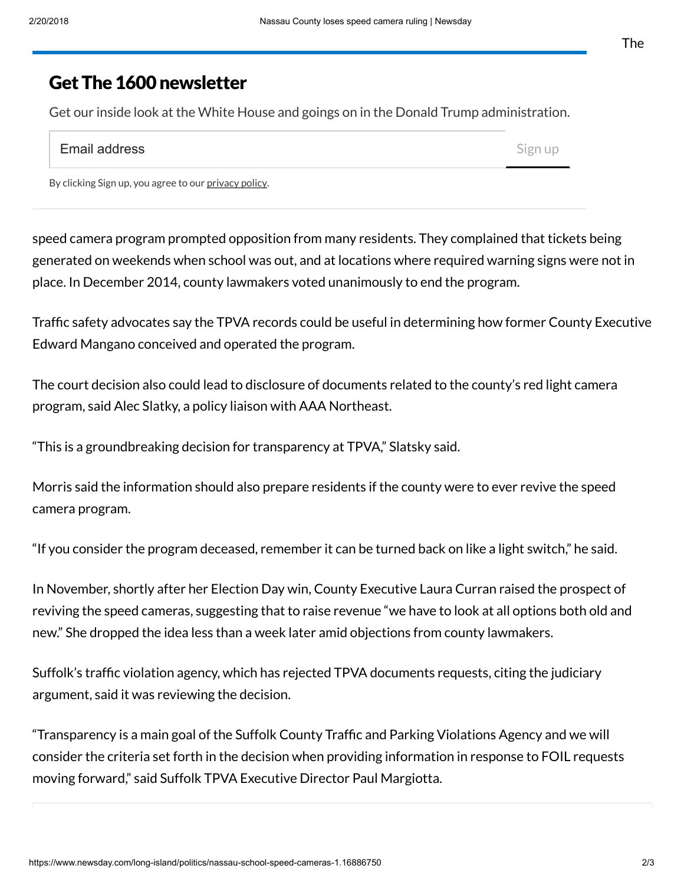## Get The 1600 newsletter

Get our inside look at the White House and goings on in the Donald Trump administration.

| <b>Email address</b> | Sign up |
|----------------------|---------|
|----------------------|---------|

By clicking Sign up, you agree to our [privacy](https://www.newsday.com/privacy) policy.

speed camera program prompted opposition from many residents. They complained that tickets being generated on weekends when school was out, and at locations where required warning signs were not in place. In December 2014, county lawmakers voted unanimously to end the program.

Traffic safety advocates say the TPVA records could be useful in determining how former County Executive Edward Mangano conceived and operated the program.

The court decision also could lead to disclosure of documents related to the county's red light camera program, said Alec Slatky, a policy liaison with AAA Northeast.

"This is a groundbreaking decision for transparency at TPVA," Slatsky said.

Morris said the information should also prepare residents if the county were to ever revive the speed camera program.

"If you consider the program deceased, remember it can be turned back on like a light switch," he said.

In November, shortly after her Election Day win, County Executive Laura Curran raised the prospect of reviving the speed cameras, suggesting that to raise revenue "we have to look at all options both old and new." She dropped the idea less than a week later amid objections from county lawmakers.

Suffolk's traffic violation agency, which has rejected TPVA documents requests, citing the judiciary argument, said it was reviewing the decision.

 $\lq$ Transparency is a main goal of the Suffolk County Traffic and Parking Violations Agency and we will consider the criteria set forth in the decision when providing information in response to FOIL requests moving forward," said Suffolk TPVA Executive Director Paul Margiotta.